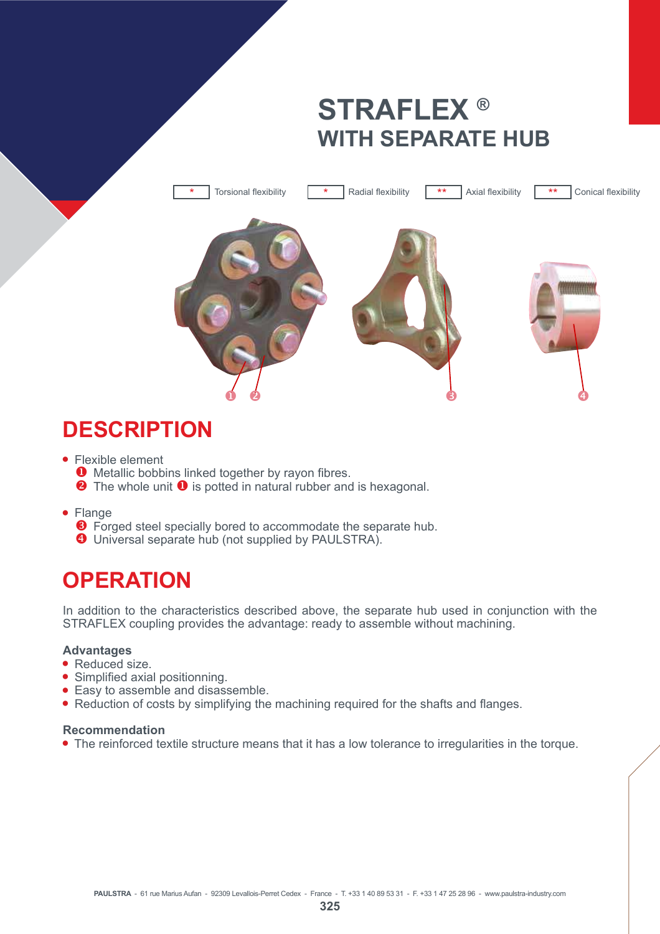# **STRAFLEX ® WITH SEPARATE HUB**



## **DESCRIPTION**

- $\bullet$  Flexible element
	- $\bullet$  Metallic bobbins linked together by rayon fibres.
	- **2** The whole unit **0** is potted in natural rubber and is hexagonal.
- Flange
	- $\Theta$  Forged steel specially bored to accommodate the separate hub.
	- **<sup>4</sup>** Universal separate hub (not supplied by PAULSTRA).

## **OPERATION**

In addition to the characteristics described above, the separate hub used in conjunction with the STRAFLEX coupling provides the advantage: ready to assemble without machining.

#### **Advantages**

- $\bullet$  Reduced size.
- Simplified axial positionning.
- $\bullet$  Easy to assemble and disassemble.
- $\bullet$  Reduction of costs by simplifying the machining required for the shafts and flanges.

#### **Recommendation**

• The reinforced textile structure means that it has a low tolerance to irregularities in the torque.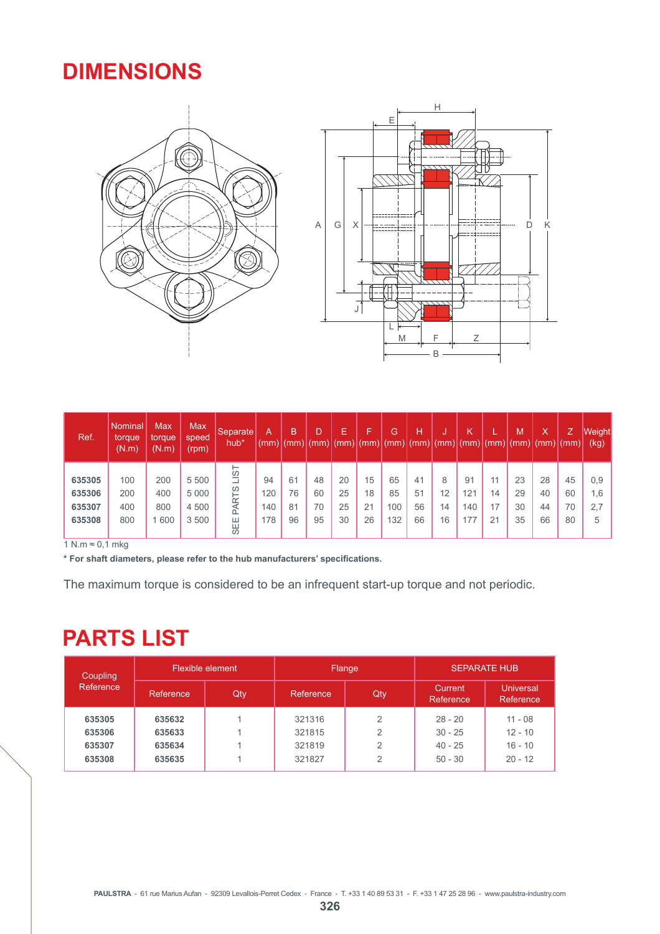### **DIMENSIONS**





| Ref.   | Nominal<br>torque<br>(N.m) | Max<br>torque<br>(N.m) | <b>Max</b><br>speed<br>(rpm) | Separate<br>hub*   | A<br>(mm) | B<br>(mm) | $\mathsf{m}$ | E  | ►  | G<br>$(mm)$ (mm) (mm) | Н  | w<br>$\lceil$ (mm) $\lceil$ (mm) $\lceil$ (mm) $\lceil$ (mm) | Κ   |    | M<br>$\lceil$ (mm) $\lceil$ | Χ<br> (mm) (mm) | Z. | Weight<br>(kg) |
|--------|----------------------------|------------------------|------------------------------|--------------------|-----------|-----------|--------------|----|----|-----------------------|----|--------------------------------------------------------------|-----|----|-----------------------------|-----------------|----|----------------|
|        |                            |                        |                              | ⊢<br>$\frac{1}{2}$ |           |           |              |    |    |                       |    |                                                              |     |    |                             |                 |    |                |
| 635305 | 100                        | 200                    | 5 500                        |                    | 94        | 61        | 48           | 20 | 15 | 65                    | 41 | 8                                                            | 91  | 11 | 23                          | 28              | 45 | 0,9            |
| 635306 | 200                        | 400                    | 5 0 0 0                      | Σh                 | 120       | 76        | 60           | 25 | 18 | 85                    | 51 | 12                                                           | 121 | 14 | 29                          | 40              | 60 | 1,6            |
| 635307 | 400                        | 800                    | 4 500                        | PAR                | 140       | 81        | 70           | 25 | 21 | 00                    | 56 | 14                                                           | 140 |    | 30                          | 44              | 70 | 2.7            |
| 635308 | 800                        | 600                    | 3 500                        | Ш<br><b>139</b>    | 178       | 96        | 95           | 30 | 26 | 132                   | 66 | 16                                                           | 77  | 21 | 35                          | 66              | 80 | 5              |

 $1 N.m \approx 0,1$  mkg

\* For shaft diameters, please refer to the hub manufacturers' specifications.

The maximum torque is considered to be an infrequent start-up torque and not periodic.

## **PARTS LIST**

| Coupling<br>Reference |           | Flexible element |           | Flange         | <b>SEPARATE HUB</b>   |                               |  |  |
|-----------------------|-----------|------------------|-----------|----------------|-----------------------|-------------------------------|--|--|
|                       | Reference | Qty              | Reference | Qty            | Current.<br>Reference | <b>Universal</b><br>Reference |  |  |
| 635305                | 635632    |                  | 321316    | 2              | $28 - 20$             | $11 - 08$                     |  |  |
| 635306                | 635633    |                  | 321815    | $\mathfrak{p}$ | $30 - 25$             | $12 - 10$                     |  |  |
| 635307                | 635634    |                  | 321819    | 2              | $40 - 25$             | $16 - 10$                     |  |  |
| 635308                | 635635    |                  | 321827    | $\overline{2}$ | $50 - 30$             | $20 - 12$                     |  |  |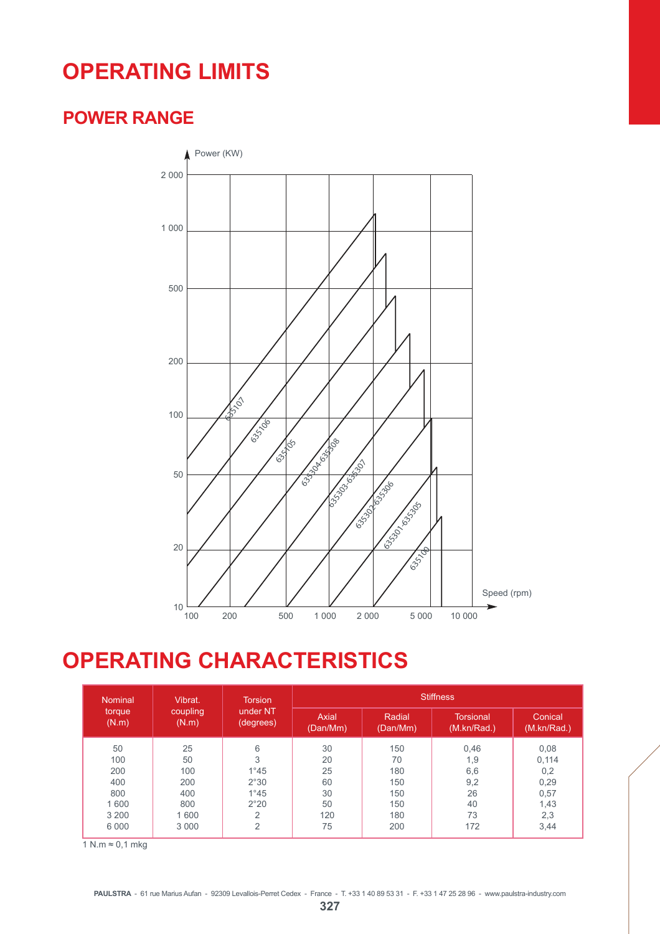## **OPERATING LIMITS**

### **POWER RANGE**



## **OPERATING CHARACTERISTICS**

| <b>Nominal</b> | Vibrat.  | <b>Torsion</b> | <b>Stiffness</b> |          |                  |             |  |  |  |  |
|----------------|----------|----------------|------------------|----------|------------------|-------------|--|--|--|--|
| torque         | coupling | under NT       | Axial            | Radial   | <b>Torsional</b> | Conical     |  |  |  |  |
| (N.m)          | (N.m)    | (degrees)      | (Dan/Mm)         | (Dan/Mm) | (M.kn/Rad.)      | (M.kn/Rad.) |  |  |  |  |
| 50             | 25       | 6              | 30               | 150      | 0,46             | 0,08        |  |  |  |  |
| 100            | 50       | 3              | 20               | 70       | 1,9              | 0,114       |  |  |  |  |
| 200            | 100      | $1^{\circ}45$  | 25               | 180      | 6,6              | 0,2         |  |  |  |  |
| 400            | 200      | 2°30           | 60               | 150      | 9,2              | 0,29        |  |  |  |  |
| 800            | 400      | $1^{\circ}45$  | 30               | 150      | 26               | 0,57        |  |  |  |  |
| 1 600          | 800      | 2°20           | 50               | 150      | 40               | 1,43        |  |  |  |  |
| 3 2 0 0        | 1 600    | 2              | 120              | 180      | 73               | 2,3         |  |  |  |  |
| 6 0 0 0        | 3 0 0 0  | $\overline{2}$ | 75               | 200      | 172              | 3,44        |  |  |  |  |

 $1 \text{ N.m} \approx 0.1 \text{ mkg}$